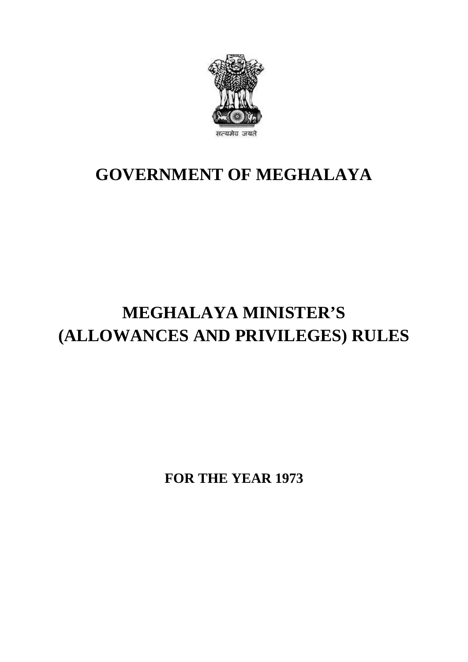

## **GOVERNMENT OF MEGHALAYA**

## **MEGHALAYA MINISTER'S (ALLOWANCES AND PRIVILEGES) RULES**

**FOR THE YEAR 1973**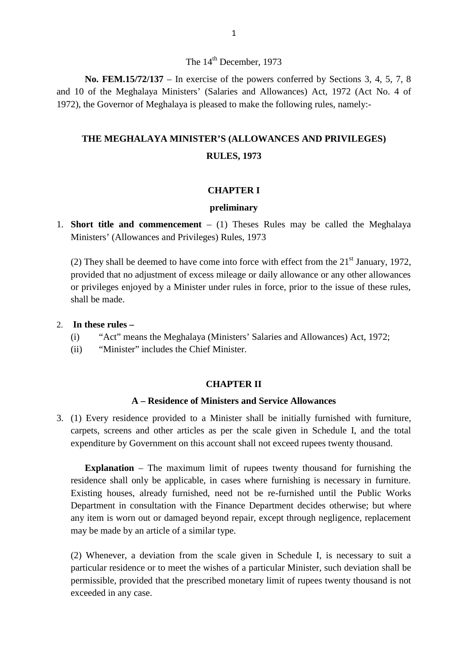#### The 14<sup>th</sup> December, 1973

**No. FEM.15/72/137** – In exercise of the powers conferred by Sections 3, 4, 5, 7, 8 The 14<sup>th</sup> December, 1973<br> **No. FEM.15/72/137** – In exercise of the powers conferred by Sections 3, 4, 5, 7, 8<br>
and 10 of the Meghalaya Ministers' (Salaries and Allowances) Act, 1972 (Act No. 4 of<br>
1972), the Governor of M 1973<br>
1972), **No. FEM.15/72/137** – In exercise of the powers conferred by Sections 3, 4, 5, and 10 of the Meghalaya Ministers' (Salaries and Allowances) Act, 1972 (Act No. 1972), the Governor of Meghalaya is pleased to mak **THE MEGHALAYA MINISTER'S (ALLOWANCES AND PRIVILEGES)**

## **RULES, 1973**

#### **CHAPTER I**

#### **preliminary**

1. **Short title and commencement** – (1) Theses Rules may be called the Meghalaya Ministers' (Allowances and Privileges) Rules, 1973

**Short title and commencement** – (1) Theses Rules may be called the Meghalaya Ministers' (Allowances and Privileges) Rules, 1973<br>(2) They shall be deemed to have come into force with effect from the 21<sup>st</sup> January, 1972, or privileges enjoyed by a Minister under rules in force, prior to the issue of these rules,<br>
shall be made.<br> **In these rules** –<br>
(i) "Act" means the Meghalaya (Ministers' Salaries and Allowances) Act, 1972;<br>
(ii) "Ministe shall be made.

- 2. **In these rules –**
	-
	- (ii) "Minister" includes the Chief Minister.

#### **CHAPTER II**

#### **A – Residence of Ministers and Service Allowances**

3. (1) Every residence provided to a Minister shall be initially furnished with furniture, carpets, screens and other articles as per the scale given in Schedule I, and the total expenditure by Government on this account shall not exceed rupees twenty thousand.

**Explanation** – The maximum limit of rupees twenty thousand for furnishing the residence shall only be applicable, in cases where furnishing is necessary in furniture. Existing houses, already furnished, need not be re-furnished until the Public Works **Explanation** – The maximum limit of rupees twenty thousand for furnishing the residence shall only be applicable, in cases where furnishing is necessary in furniture. Existing houses, already furnished, need not be re-fur any item is worn out or damaged beyond repair, except through negligence, replacement may be made by an article of a similar type. (2) Department in consultation with the Finance Department decides otherwise; but where<br>any item is worn out or damaged beyond repair, except through negligence, replacement<br>may be made by an article of a similar type.<br>(2)

particular residence or to meet the wishes of a particular Minister, such deviation shall be permissible, provided that the prescribed monetary limit of rupees twenty thousand is not exceeded in any case.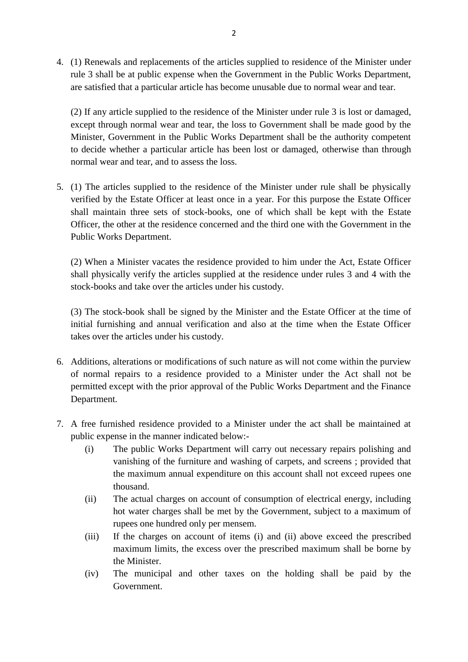4. (1) Renewals and replacements of the articles supplied to residence of the Minister under rule 3 shall be at public expense when the Government in the Public Works Department, are satisfied that a particular article has become unusable due to normal wear and tear. (1) Renewals and replacements of the articles supplied to residence of the Minister under rule 3 shall be at public expense when the Government in the Public Works Department, are satisfied that a particular article has be

Minister, Government in the Public Works Department shall be the authority competent (2) If any article supplied to the residence of the Minister under rule 3 is lost or damaged, except through normal wear and tear, the loss to Government shall be made good by the Minister, Government in the Public Works D normal wear and tear, and to assess the loss. to decide whether a particular article has been lost or damaged, otherwise than through<br>normal wear and tear, and to assess the loss.<br>5. (1) The articles supplied to the residence of the Minister under rule shall be physic

verified by the Estate Officer at least once in a year. For this purpose the Estate Officer shall maintain three sets of stock-books, one of which shall be kept with the Estate<br>Officer, the other at the residence concerned and the third one with the Government in the<br>Public Works Department.<br>(2) When a Minister v Officer, the other at the residence concerned and the third one with the Government in the Public Works Department.

shall physically verify the articles supplied at the residence under rules 3 and 4 with the stock-books and take over the articles under his custody. (2) When a Minister vacates the residence provided to him under the Act, Estate Officer shall physically verify the articles supplied at the residence under rules 3 and 4 with the stock-books and take over the articles und

income shall physically verify the articles supplied at the residence under rules 3 and 4 with the stock-books and take over the articles under his custody.<br>
(3) The stock-book shall be signed by the Minister and the Estat takes over the articles under his custody. (3) The stock-book shall be signed by the Minister and the Estate Officer at the time of<br>initial furnishing and annual verification and also at the time when the Estate Officer<br>takes over the articles under his custody.<br>6. (3) The stock-book shall be signed by the Minister and the Estate Officer at the time of<br>initial furnishing and annual verification and also at the time when the Estate Officer<br>takes over the articles under his custody.<br>6.

- permitted except with the prior approval of the Public Works Department and the Finance Department. 17. A free furnished residence provided to a Minister under the Act shall not be permitted except with the prior approval of the Public Works Department and the Finance Department.<br>
17. A free furnished residence provided
- public expense in the manner indicated below:-
- Variant expense in the public Works Department will carry out necessary repairs polishing and<br>
iic expense in the manner indicated below:-<br>
(i) The public Works Department will carry out necessary repairs polishing and<br>
va vanishing of the furniture and washing of carpets, and screens ; provided that the maximum annual expenditure on this account shall not exceed rupees one thousand. (i) The public Works Department will carry out necessary repairs polishing and vanishing of the furniture and washing of carpets, and screens ; provided that the maximum annual expenditure on this account shall not exceed
	- rupees one hundred only per mensem. (ii) The actual charges on account of consumption of electrical energy, including<br>
	tot water charges shall be met by the Government, subject to a maximum of<br>
	rupees one hundred only per mensem.<br>
	(iii) If the charges on acc
	- maximum limits, the excess over the prescribed maximum shall be borne by the Minister. The municipal and other taxes on the holding shall be prescribed<br>
	The municipal and other taxes on the holding shall be paid by the<br>
	Government.
	- Government.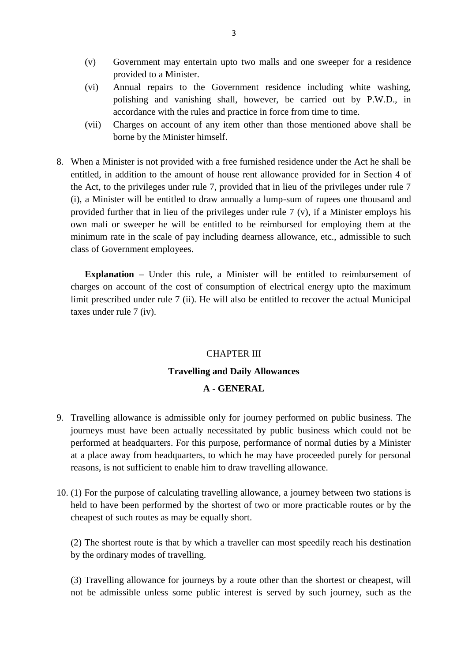- (v) Government may entertain upto two malls and one sweeper for a residence provided to a Minister. provided to a Minister.
- (v) Covernment may entertain upto two malls and one sweeper for a residence<br>provided to a Minister.<br>(vi) Annual repairs to the Government residence including white washing,<br>polishing and vanishing shall, however, be carrie polishing and vanishing shall, however, be carried out by P.W.D., in accordance with the rules and practice in force from time to time. provided to a Minister.<br>
(vi) Annual repairs to the Government residence including white washing,<br>
polishing and vanishing shall, however, be carried out by P.W.D., in<br>
accordance with the rules and practice in force from
- borne by the Minister himself.
- 8. When a Minister is not provided with a free furnished residence under the Act he shall be<br>8. When a Minister is not provided with a free furnished residence under the Act he shall be<br>8. When a Minister is not provided w Figure 1.1 The amount of the amount of the amount of the amount the amount of house rentioned above shall be<br>when a Minister is not provided with a free furnished residence under the Act he shall be<br>entitled, in addition the Act, to the privileges under rule 7, provided that in lieu of the privileges under rule 7 When a Minister is not provided with a free furnished residence under the Act he shall be entitled, in addition to the amount of house rent allowance provided for in Section 4 of the Act, to the privileges under rule 7, p provided further that in lieu of the privileges under rule 7 (v), if a Minister employs his own mali or sweeper he will be entitled to be reimbursed for employing them at the minimum rate in the scale of pay including dearness allowance, etc., admissible to such (i), a Minister will be entitled to dra<br>provided further that in lieu of the p<br>own mali or sweeper he will be en<br>minimum rate in the scale of pay inclass of Government employees.

**Explanation** – Under this rule, a Minister will be entitled to reimbursement of charges on account of the cost of consumption of electrical energy upto the maximum limit prescribed under rule 7 (ii). He will also be entitled to recover the actual Municipal **Explanation** – Under charges on account of the limit prescribed under rule taxes under rule 7 (iv).

## CHAPTER III **Travelling and Daily Allowances CHAPTER III**<br>ng and Daily Allowances<br>A - GENERAL

- A GENERAL<br>9. Travelling allowance is admissible only for journey performed on public business. The journeys must have been actually necessitated by public business which could not be performed at headquarters. For this purpose, performance of normal duties by a Minister<br>at a place away from headquarters, to which he may have proceeded purely for personal<br>reasons, is not sufficient to enable him to draw at a place away from headquarters, to which he may have proceeded purely for personal reasons, is not sufficient to enable him to draw travelling allowance.
- held to have been performed by the shortest of two or more practicable routes or by the cheapest of such routes as may be equally short. (1) For the purpose of calculating travelling allowance, a journey between two stations is<br>held to have been performed by the shortest of two or more practicable routes or by the<br>cheapest of such routes as may be equally s

by the ordinary modes of travelling.

(3) Travelling allowance for journeys by a route other than the shortest or cheapest, will not be admissible unless some public interest is served by such journey, such as the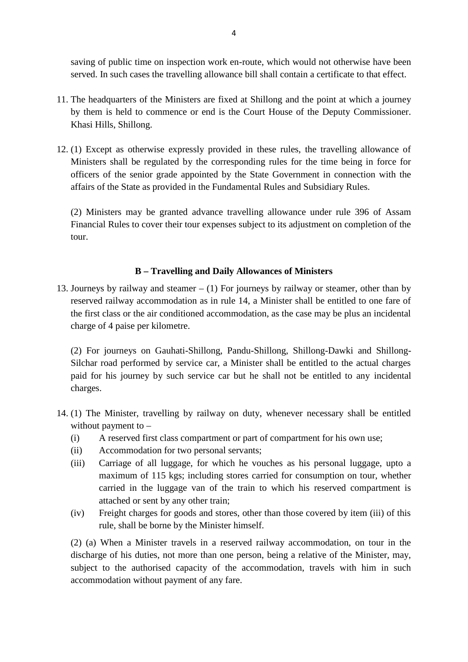served. In such cases the travelling allowance bill shall contain a certificate to that effect.

- saving of public time on inspection work en-route, which would not otherwise have been served. In such cases the travelling allowance bill shall contain a certificate to that effect. The headquarters of the Ministers are f 11. The headquarters of the Ministers are fixed at Shillong and the point at which a journey<br>by them is held to commence or end is the Court House of the Deputy Commissioner. Khasi Hills, Shillong. 11. The headquarters of the Ministers are fixed at Shillong and the point at which a journey<br>by them is held to commence or end is the Court House of the Deputy Commissioner.<br>Khasi Hills, Shillong.<br>12. (1) Except as otherw
- Ministers shall be regulated by the corresponding rules for the time being in force for officers of the senior grade appointed by the State Government in connection with the affairs of the State as provided in the Fundamental Rules and Subsidiary Rules. Ministers shall be regulated by the corresponding rules for the time being in force for officers of the senior grade appointed by the State Government in connection with the affairs of the State as provided in the Fundamen

Financial Rules to cover their tour expenses subject to its adjustment on completion of the tour.

#### **B – Travelling and Daily Allowances of Ministers**

13. Journeys by railway and steamer – (1) For journeys by railway or steamer, other than by<br>13. Journeys by railway and steamer – (1) For journeys by railway or steamer, other than by<br>13. Journeys by railway accommodation reserved railway accommodation as in rule 14, a Minister shall be entitled to one fare of the first class or the air conditioned accommodation, as the case may be plus an incidental charge of 4 paise per kilometre.

(2) For journeys on Gauhati-Shillong, Pandu-Shillong, Shillong-Dawki and Shillong-Silchar road performed by service car, a Minister shall be entitled to the actual charges charge of 4 paise per kilometre.<br>
(2) For journeys on Gauhati-Shillong, Pandu-Shillong, Shillong-Dawki and Shillong-<br>
Silchar road performed by service car, a Minister shall be entitled to the actual charges<br>
paid for his charges. Silchar road performed by service car, a Minister shall be entitled to the actual charges paid for his journey by such service car but he shall not be entitled to any incidental charges.<br>14. (1) The Minister, travelling b

- without payment to charges.<br>
(1) The Minister, travelling by railway on duty, whenever necessary shall be entitl<br>
without payment to –<br>
(i) A reserved first class compartment or part of compartment for his own use;<br>
(ii) Accommodation for tw (1) The Minister, travelling by railway on duty, whe<br>without payment to –<br>(i) A reserved first class compartment or part of cor<br>(ii) Accommodation for two personal servants;<br>(iii) Carriage of all luggage, for which he vou
	-
	-
	- (1) The Minister, travelling by railway on duty, whenever necessary shall be entitled<br>without payment to –<br>(i) A reserved first class compartment or part of compartment for his own use;<br>(ii) Accommodation for two personal A reserved first class compartment or part of compartment for his own use;<br>Accommodation for two personal servants;<br>Carriage of all luggage, for which he vouches as his personal luggage, upto a<br>maximum of 115 kgs; includin carried in the luggage van of the train to which his reserved compartment is Accommodation for two personal serva<br>Carriage of all luggage, for which he<br>maximum of 115 kgs; including stores<br>carried in the luggage van of the train<br>attached or sent by any other train;<br>Freight charges for goods and sto (iii) Carriage of all luggage, for which he vouches as his personal luggage, upto a<br>maximum of 115 kgs; including stores carried for consumption on tour, whether<br>carried in the luggage van of the train to which his reserve
	- rule, shall be borne by the Minister himself.

carried in the luggage van of the train to which his reserved compartment is<br>attached or sent by any other train;<br>(iv) Freight charges for goods and stores, other than those covered by item (iii) of this<br>rule, shall be bor attached or sent by any other train;<br>
(iv) Freight charges for goods and stores, other than those covered by item (iii) of this<br>
rule, shall be borne by the Minister himself.<br>
(2) (a) When a Minister travels in a reserved subject to the authorised capacity of the accommodation, travels with him in such accommodation without payment of any fare.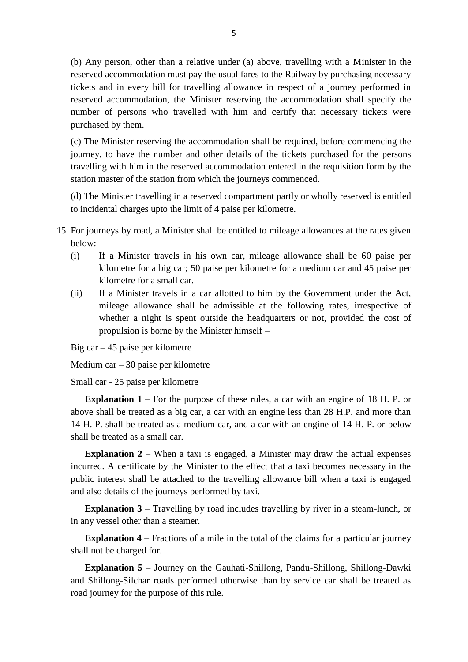(b) Any person, other than a relative under (a) above, travelling with a Minister in the reserved accommodation must pay the usual fares to the Railway by purchasing necessary tickets and in every bill for travelling allowance in respect of a journey performed in reserved accommodation, the Minister reserving the accommodation shall specify the number of persons who travelled with him and certify that necessary tickets were purchased by them. tickets and in every bill for travelling allowance in respect of a journey performed in<br>reserved accommodation, the Minister reserving the accommodation shall specify the<br>number of persons who travelled with him and certif

reserved accommodation, the Minister reserving the accommodation shall specify the<br>number of persons who travelled with him and certify that necessary tickets were<br>purchased by them.<br>(c) The Minister reserving the accommod travelling with him in the reserved accommodation entered in the requisition form by the station master of the station from which the journeys commenced. (c) The Minister reserving the accommodation shall be required, before commencing the journey, to have the number and other details of the tickets purchased for the persons travelling with him in the reserved accommodation

to incidental charges upto the limit of 4 paise per kilometre. 15. For journeys by road, a Minister shall be entitled to mileage allowances at the rates given below:-

- below:-
- (i) If a Minister travels in his own car, mileage allowances at the rates given<br>below:-<br>(i) If a Minister travels in his own car, mileage allowance shall be 60 paise per<br>kilometre for a big car; 50 paise per kilometre for kilometre for a big car; 50 paise per kilometre for a medium car and 45 paise per kilometre for a small car. (i) If a Minister travels in his own car, mileage allowance shall be 60 paise per<br>kilometre for a big car; 50 paise per kilometre for a medium car and 45 paise per<br>kilometre for a small car.<br>(ii) If a Minister travels in a
	- If a Minister travels in his own car, mileage allowance shall be 60 paise per kilometre for a big car; 50 paise per kilometre for a medium car and 45 paise per kilometre for a small car.<br>If a Minister travels in a car allo kilometre for a big car; 50 paise per kilometre for a medium car and 45 paise per kilometre for a small car.<br>If a Minister travels in a car allotted to him by the Government under the Act, mileage allowance shall be admiss propulsion is borne by the Minister himself – propulsion is borne by the Ministe<br>Big car  $- 45$  paise per kilometre<br>Medium car  $- 30$  paise per kilometre<br>Small car  $- 25$  paise per kilometre<br>**Explanation 1** – For the purpose of 1

Big car – 45 paise per kilometre

Medium car – 30 paise per kilometre

**Explanation 1** – For the purpose of these rules, a car with an engine of 18 H. P. or above shall be treated as a big car, a car with an engine less than 28 H.P. and more than Small car - 25 paise per kilometre<br> **Explanation 1** – For the purpose of these rules, a car with an engine of 18 H. P. or<br>
above shall be treated as a big car, a car with an engine less than 28 H.P. and more than<br>
14 H. P shall be treated as a small car. 14 H. P. shall be treated as a medium car, and a car with an engine of 14 H. P. or below shall be treated as a small car.<br>**Explanation 2** – When a taxi is engaged, a Minister may draw the actual expenses

incurred. A certificate by the Minister to the effect that a taxi becomes necessary in the public interest shall be attached to the travelling allowance bill when a taxi is engaged shall be treated as a small car.<br> **Explanation 2** – When a taxi is engaged, a Mini<br>
incurred. A certificate by the Minister to the effect th<br>
public interest shall be attached to the travelling allo<br>
and also details of t **Explanation 2** – When a taxi is engaged, a Minister may draw the actual expenses urred. A certificate by the Minister to the effect that a taxi becomes necessary in the lic interest shall be attached to the travelling al

in any vessel other than a steamer. **Explanation 3** – Travelling by road includes travelling by river in a steam-lunch, or<br>in any vessel other than a steamer.<br>**Explanation 4** – Fractions of a mile in the total of the claims for a particular journey

shall not be charged for.

**Explanation 5** – Journey on the Gauhati-Shillong, Pandu-Shillong, Shillong-Dawki and Shillong-Silchar roads performed otherwise than by service car shall be treated as road journey for the purpose of this rule.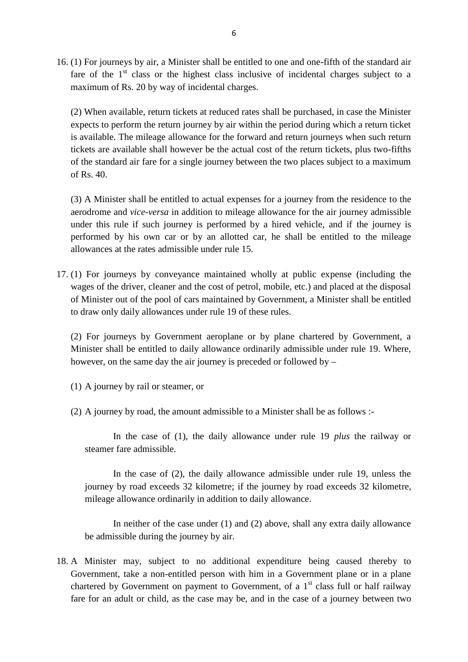<sup>6</sup><br>
16. (1) For journeys by air, a Minister shall be entitled to one and one-fifth of the standard air<br>
fare of the 1<sup>st</sup> class or the highest class inclusive of incidental charges subject to a maximum of Rs. 20 by way of incidental charges.

(2) When available, return tickets at reduced rates shall be purchased, in case the Minister expects to perform the return journey by air within the period during which a return ticket is available. The mileage allowance for the forward and return journeys when such return tickets are available shall however be the actual cost of the return tickets, plus two-fifths (2) When available, return tickets at reduced rates shall be purchased, in case the Minister expects to perform the return journey by air within the period during which a return ticket is available. The mileage allowance f of Rs. 40. tickets are available shall however be the actual cost of the return tickets, plus two-fifths<br>of the standard air fare for a single journey between the two places subject to a maximum<br>of Rs. 40.<br>(3) A Minister shall be ent

aerodrome and *vice-versa* in addition to mileage allowance for the air journey admissible (3) A Minister shall be entitled to actual expenses for a journey from the residence to the aerodrome and *vice-versa* in addition to mileage allowance for the air journey admissible under this rule if such journey is per (3) A Minister shall be entitled to actual expenses for a journey from the residence to the aerodrome and *vice-versa* in addition to mileage allowance for the air journey admissible under this rule if such journey is per allowances at the rates admissible under rule 15. 17. (1) For journeys by conveyance maintained wholly at public expense (including the unit allowances by conveyance maintained wholly at public expense (including the unit allowances by conveyance maintained wholly at publ

wages of the driver, cleaner and the cost of petrol, mobile, etc.) and placed at the disposal of Minister out of the pool of cars maintained by Government, a Minister shall be entitled to draw only daily allowances under rule 19 of these rules. wages of the driver, cleaner and the cost of petrol, mobile, etc.) and placed at the disposal<br>of Minister out of the pool of cars maintained by Government, a Minister shall be entitled<br>to draw only daily allowances under r

Minister shall be entitled to daily allowance ordinarily admissible under rule 19. Where, however, on the same day the air journey is preceded or followed by – (2) For journeys by Government aerop<br>Minister shall be entitled to daily allowa<br>however, on the same day the air journey<br>(1) A journey by rail or steamer, or

- 
- (1) A journey by rail or steamer, or<br>
(2) A journey by road, the amount admissible to a Minister shall be as follows :-

In the case of (1), the daily allowance under rule 19 *plus* the railway or steamer fare admissible.

In the case of (2), the daily allowance admissible under rule 19, unless the journey by road exceeds 32 kilometre; if the journey by road exceeds 32 kilometre, mileage allowance ordinarily in addition to daily allowance.

In neither of the case under (1) and (2) above, shall any extra daily allowance be admissible during the journey by air.

18. A Minister may, subject to no additional expenditure being caused thereby to Government, take a non-entitled person with him in a Government plane or in a plane chartered by Government on payment to Government, of a  $1<sup>st</sup>$  class full or half railway fare for an adult or child, as the case may be, and in the case of a journey between two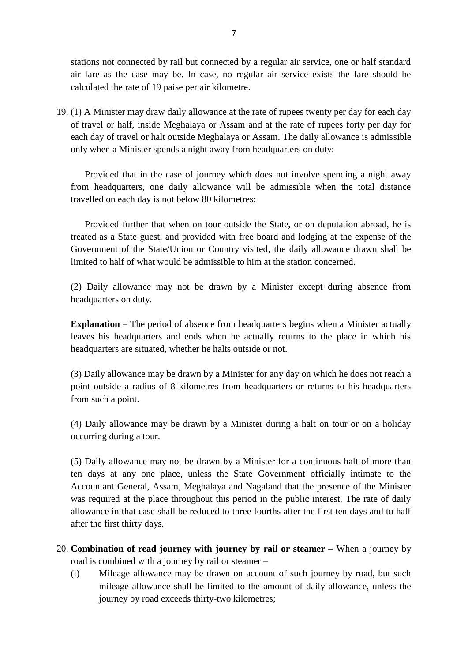stations not connected by rail but connected by a regular air service, one or half standard 7<br>atations not connected by rail but connected by a regular air service, one or half standard<br>air fare as the case may be. In case, no regular air service exists the fare should be<br>calculated the rate of 19 paise per air k calculated the rate of 19 paise per air kilometre. 19. (1) A Minister may draw daily allowance at the rate of rupees twenty per day for each day of travel or half, inside Meghalaya or Assam and at the rate of rupees forty per day for each day of travel or half, inside Megh

each day of travel or halt outside Meghalaya or Assam. The daily allowance is admissible

only when a Minister spends a night away from headquarters on duty:<br>
Provided that in the case of journey which does not involve spendin<br>
from headquarters, one daily allowance will be admissible when the<br>
travelled on eac Provided that in the case of journey which does not involve spending a night away from headquarters, one daily allowance will be admissible when the total distance Provided that in the case of journey which does not involve spending a night away<br>n headquarters, one daily allowance will be admissible when the total distance<br>elled on each day is not below 80 kilometres:<br>Provided furthe

travelled on each day is not below 80 kilometres:<br>travelled on each day is not below 80 kilometres:<br>Provided further that when on tour outside the State, or on deputation abroad, he is<br>treated as a State guest, and provide Government of the State/Union or Country visited, the daily allowance drawn shall be limited to half of what would be admissible to him at the station concerned.

(2) Daily allowance may not be drawn by a Minister except during absence from headquarters on duty.

**Explanation** – The period of absence from headquarters begins when a Minister actually leaves his headquarters and ends when he actually returns to the place in which his headquarters are situated, whether he halts outside or not.

(3) Daily allowance may be drawn by a Minister for any day on which he does not reach a point outside a radius of 8 kilometres from headquarters or returns to his headquarters from such a point.

(4) Daily allowance may be drawn by a Minister during a halt on tour or on a holiday occurring during a tour.

(5) Daily allowance may not be drawn by a Minister for a continuous halt of more than ten days at any one place, unless the State Government officially intimate to the Accountant General, Assam, Meghalaya and Nagaland that the presence of the Minister (5) Daily allowance may not be drawn by a Minister for a continuous halt of more than<br>ten days at any one place, unless the State Government officially intimate to the<br>Accountant General, Assam, Meghalaya and Nagaland that after the first thirty days. was required at the place throughout this period in the public interest. The rate of daily allowance in that case shall be reduced to three fourths after the first ten days and to half after the first thirty days.<br>20. **Com** 

- road is combined with a journey by rail or steamer (20. Combination of read journey with journey by rail or steamer – When a journey by road is combined with a journey by rail or steamer –  $(i)$  Mileage allowance may be drawn on account of such journey by road, but such
- **nation of read journey with journey by rail or steamer** When a journey by combined with a journey by rail or steamer –<br>Mileage allowance may be drawn on account of such journey by road, but such mileage allowance shall **nation of read journey with journey by rai**<br>combined with a journey by rail or steamer –<br>Mileage allowance may be drawn on account<br>mileage allowance shall be limited to the am<br>journey by road exceeds thirty-two kilometres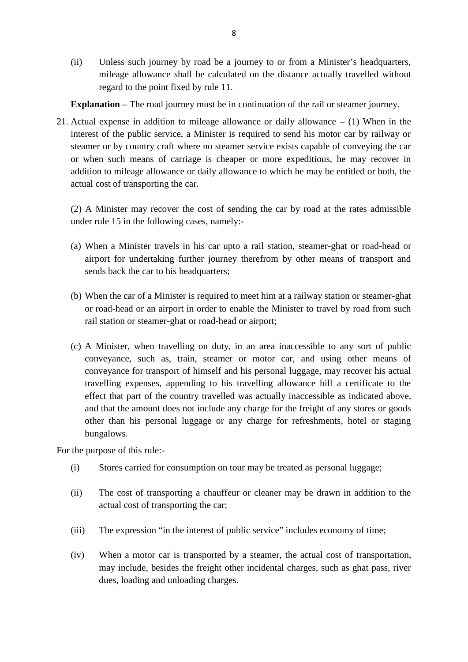(ii) Unless such journey by road be a journey to or from a Minister's headquarters, mileage allowance shall be calculated on the distance actually travelled without regard to the point fixed by rule 11.

**Explanation** – The road journey must be in continuation of the rail or steamer journey.

21. Actual expense in addition to mileage allowance or daily allowance – (1) When in the interest of the public service, a Minister is required to send his motor car by railway or Explanation – The road journey must be in continuation of the rail or steamer journey.<br>Actual expense in addition to mileage allowance or daily allowance – (1) When in the interest of the public service, a Minister is req addition to mileage allowance or daily allowance to which he may be entitled or both, the actual cost of transporting the car.<br>
(2) A Minister may recover the cost of sending the car by road at the rates admissible under r actual cost of transporting the car.

(2) A Minister may recover the cost of sending the car by road at the rates admissible

- (2) A Minister may recover the cost of sending the car by road at the rates admissible<br>under rule 15 in the following cases, namely:-<br>(a) When a Minister travels in his car upto a rail station, steamer-ghat or road-head or airport for undertaking further journey therefrom by other means of transport and sends back the car to his headquarters: (a) When a Minister travels in his car upto a rail station, steamer-ghat or road-head or airport for undertaking further journey therefrom by other means of transport and sends back the car to his headquarters;<br>(b) When th
- or road-head or an airport in order to enable the Minister to travel by road from such rail station or steamer-ghat or road-head or airport; (b) When the car of a Minister is required to meet him at a railway station or steamer-ghat<br>or road-head or an airport in order to enable the Minister to travel by road from such<br>rail station or steamer-ghat or road-head o
- (c) A Minister, when travelling on duty, in an area inaccessible to any sort of public conveyance, such as, train, steamer or motor car, and using other means of conveyance for transport of himself and his personal luggage, may recover his actual travelling expenses, appending to his travelling allowance bill a certificate to the A Minister, when travelling on duty, in an area inaccessible to any sort of public conveyance, such as, train, steamer or motor car, and using other means of conveyance for transport of himself and his personal luggage, ma other than his personal luggage or any charge for refreshments, hotel or staging bungalows. effect that part of the coun<br>and that the amount does n<br>other than his personal lu<br>bungalows.<br>For the purpose of this rule:-<br>(i) Stores carried for consu (i) Stores carried for consumption on tour may be treated as personal luggage;

- 
- (i) the purpose of this rule:-<br>
(i) Stores carried for consumption on tour may be treated as personal luggage;<br>
(ii) The cost of transporting a chauffeur or cleaner may be drawn in addition to the actual cost of transporti actual cost of transporting the car;
- (iii) The expression "in the interest of public service" includes economy of time;
- (iii) The expression "in the interest of public service" includes economy of time;<br>
(iv) When a motor car is transported by a steamer, the actual cost of transportation,<br>
may include, besides the freight other incidental c may include, besides the freight other incidental charges, such as ghat pass, river dues, loading and unloading charges.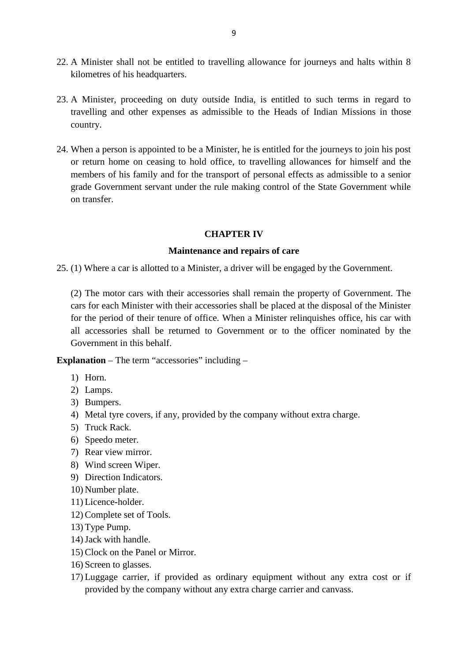- 9<br>22. A Minister shall not be entitled to travelling allowance for journeys and halts within 8<br>kilometres of his headquarters. kilometres of his headquarters.
- 22. A Minister shall not be entitled to travelling allowance for journeys and halts within 8<br>kilometres of his headquarters.<br>23. A Minister, proceeding on duty outside India, is entitled to such terms in regard to<br>travelli travelling and other expenses as admissible to the Heads of Indian Missions in those country. 23. A Minister, proceeding on duty outside India, is entitled to such terms in regard to travelling and other expenses as admissible to the Heads of Indian Missions in those country.<br>24. When a person is appointed to be a
- or return home on ceasing to hold office, to travelling allowances for himself and the members of his family and for the transport of personal effects as admissible to a senior grade Government servant under the rule making control of the State Government while on transfer.

#### **CHAPTER IV**

#### **Maintenance and repairs of care**

25. (1) Where a car is allotted to a Minister, a driver will be engaged by the Government.

(2) The motor cars with their accessories shall remain the property of Government. The cars for each Minister with their accessories shall be placed at the disposal of the Minister for the period of their tenure of office. When a Minister relinquishes office, his car with all accessories shall be returned to Government or to the officer nominated by the Government in this behalf. cars for each Minister with their accessories shall be planet for the period of their tenure of office. When a Ministe all accessories shall be returned to Government or Government in this behalf.<br>**Explanation** – The term France period<br>
all accessorie<br>
Government is<br> **Ilanation** – Th<br>
1) Horn.<br>
2) Lamps. France<br> **Covernment in**<br> **planation** – The<br> **1**) Horn.<br> **2**) Lamps.<br> **3**) Bumpers.

- 
- 
- 
- Sovernment in the<br>**planation** The te<br>1) Horn.<br>2) Lamps.<br>3) Bumpers.<br>4) Metal tyre cov **Example 1)** Horn.<br>
1) Horn.<br>
2) Lamps.<br>
3) Bumpers.<br>
4) Metal tyre covers, if any, provided by the company without extra charge.<br>
5) Truck Rack. 1) Horn.<br>2) Lamps.<br>3) Bumpers.<br>4) Metal tyre cover:<br>5) Truck Rack.<br>6) Speedo meter. 2) Lamps.<br>3) Bumpers.<br>4) Metal tyre covers,<br>5) Truck Rack.<br>6) Speedo meter.<br>7) Rear view mirror. 3) Bumpers.<br>4) Metal tyre covers, if an<br>5) Truck Rack.<br>6) Speedo meter.<br>7) Rear view mirror.<br>8) Wind screen Wiper. 4) Metal tyre covers, if any<br>5) Truck Rack.<br>6) Speedo meter.<br>7) Rear view mirror.<br>8) Wind screen Wiper.<br>9) Direction Indicators.
- 
- 
- 6) Speedo meter.<br>
7) Rear view mirror.<br>
8) Wind screen Wipe.<br>
9) Direction Indicator<br>
10) Number plate.<br>
11) Licence-holder.
- 7) Rear view mirror.<br>8) Wind screen Wiper.<br>9) Direction Indicators.<br>10) Number plate.<br>11) Licence-holder.<br>12) Complete set of Too
- 5) Truck Rack.<br>6) Speedo meter.<br>7) Rear view mirror.<br>8) Wind screen Wiper.<br>9) Direction Indicators.<br>10) Number plate.
- 
- 
- 8) Wind screen Wiper.<br>9) Direction Indicators.<br>10) Number plate.<br>11) Licence-holder.<br>12) Complete set of Tools.<br>13) Type Pump. 9) Direction Indicators.<br>
10) Number plate.<br>
11) Licence-holder.<br>
12) Complete set of Tools.<br>
13) Type Pump.<br>
14) Jack with handle.
- 
- 
- 15) Clock on the Panel or Mirror.<br>16) Screen to glasses. 11) Licence-holder.<br>
12) Complete set of Tools.<br>
13) Type Pump.<br>
14) Jack with handle.<br>
15) Clock on the Panel or Mirror.<br>
16) Screen to glasses.
- 
- 12) Complete set of Tools<br>13) Type Pump.<br>14) Jack with handle.<br>15) Clock on the Panel or<br>16) Screen to glasses.<br>17) Luggage carrier, if p 13) Type Pump.<br>
14) Jack with handle.<br>
15) Clock on the Panel or Mirror.<br>
16) Screen to glasses.<br>
17) Luggage carrier, if provided as ordinary equipment without any extra cost or if<br>
provided by the company without any ext provided by the company without any extra charge carrier and canvass.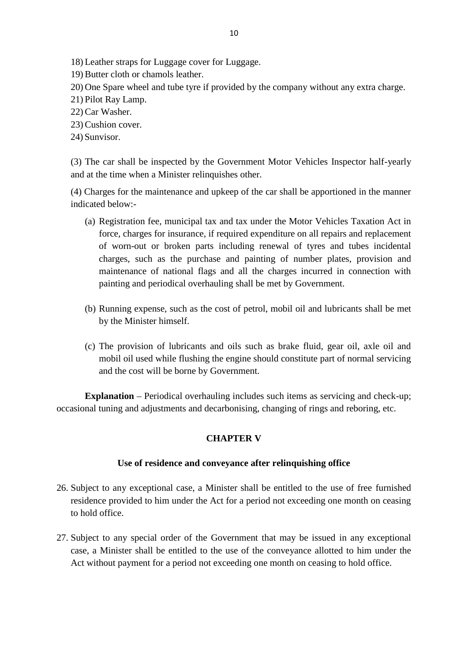18) Leather straps for Luggage cover for Luggage.<br>19) Butter cloth or chamols leather.

- 
- 18) Leather straps for Luggage cover for<br>19) Butter cloth or chamols leather.<br>20) One Spare wheel and tube tyre if pro 20) One Spare wheel and tube tyre if provided by the company without any extra charge.<br>20) One Spare wheel and tube tyre if provided by the company without any extra charge.<br>21) Pilot Ray Lamp. 18) Leather straps for Lu<br>19) Butter cloth or chame<br>20) One Spare wheel and<br>21) Pilot Ray Lamp.<br>22) Car Washer. 18) Leather straps for<br>19) Butter cloth or cl<br>20) One Spare wheel<br>21) Pilot Ray Lamp.<br>22) Car Washer.<br>23) Cushion cover. 19) Butter cloth or chan<br>20) One Spare wheel ar<br>21) Pilot Ray Lamp.<br>22) Car Washer.<br>23) Cushion cover.<br>24) Sunvisor. 20) One Spare wh<br>21) Pilot Ray Lam<br>22) Car Washer.<br>23) Cushion cover<br>24) Sunvisor.
- 
- 
- 
- 

(3) The car shall be inspected by the Government Motor Vehicles Inspector half-yearly and at the time when a Minister relinquishes other.

(4) Charges for the maintenance and upkeep of the car shall be apportioned in the manner indicated below:-

- The car shall be inspected by the Government Motor Vehicles Inspector han-yearly<br>at the time when a Minister relinquishes other.<br>Charges for the maintenance and upkeep of the car shall be apportioned in the manner<br>cated be force, charges for insurance, if required expenditure on all repairs and replacement of worn-out or broken parts including renewal of tyres and tubes incidental charges, such as the purchase and painting of number plates, provision and maintenance of national flags and all the charges incurred in connection with painting and periodical overhauling shall be met by Government. charges, such as the purchase and painting of number plates, provision and maintenance of national flags and all the charges incurred in connection with painting and periodical overhauling shall be met by Government.<br>(b) R
- by the Minister himself.
- (b) Running expense, such as the cost of petrol, mobil oil and lubricants shall be met<br>by the Minister himself.<br>(c) The provision of lubricants and oils such as brake fluid, gear oil, axle oil and<br>mobil oil used while flus mobil oil used while flushing the engine should constitute part of normal servicing and the cost will be borne by Government.

**Explanation** – Periodical overhauling includes such items as servicing and check-up; occasional tuning and adjustments and decarbonising, changing of rings and reboring, etc.

#### **CHAPTER V**

#### **Use of residence and conveyance after relinquishing office**

- 26. Subject to any exceptional case, a Minister shall be entitled to the use of free furnished<br>26. Subject to any exceptional case, a Minister shall be entitled to the use of free furnished<br>26. Subject to any exceptional c to hold office. 26. Subject to any exceptional case, a Minister shall be entitled to the use of free furnished<br>residence provided to him under the Act for a period not exceeding one month on ceasing<br>to hold office.<br>27. Subject to any spec
- residence provided to him under the Act for a period not exceeding one month on ceasing<br>to hold office.<br>Subject to any special order of the Government that may be issued in any exceptional<br>case, a Minister shall be entitle Act without payment for a period not exceeding one month on ceasing to hold office.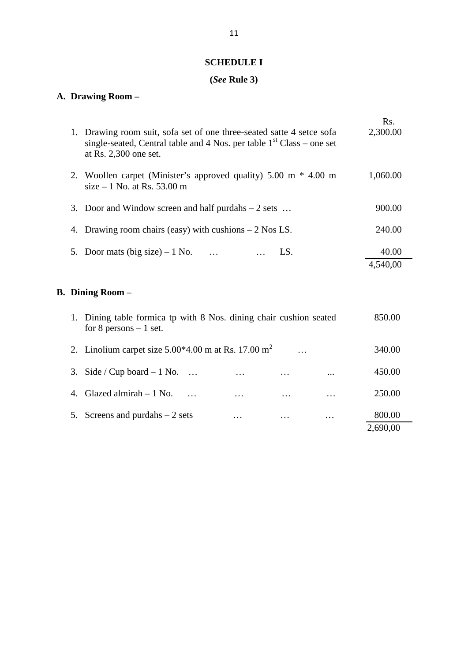#### **SCHEDULE I**

### **(***See* **Rule 3)**

### **A. Drawing Room –**

|    | (See Rule 3)                                                                                                                                                              |                   |  |
|----|---------------------------------------------------------------------------------------------------------------------------------------------------------------------------|-------------------|--|
|    | A. Drawing Room -                                                                                                                                                         |                   |  |
|    | 1. Drawing room suit, sofa set of one three-seated satte 4 setce sofa<br>single-seated, Central table and 4 Nos. per table $1st Class - one set$<br>at Rs. 2,300 one set. | Rs.<br>2,300.00   |  |
|    | 2. Woollen carpet (Minister's approved quality) $5.00 \text{ m} * 4.00 \text{ m}$<br>size $-1$ No. at Rs. 53.00 m                                                         | 1,060.00          |  |
|    | 3. Door and Window screen and half purdahs $-2$ sets                                                                                                                      | 900.00            |  |
|    | 4. Drawing room chairs (easy) with cushions $-2$ Nos LS.                                                                                                                  | 240.00            |  |
| 5. | Door mats (big size) – 1 No. $\ldots$<br>LS.                                                                                                                              | 40.00<br>4,540,00 |  |
|    | <b>B. Dining Room</b> –                                                                                                                                                   |                   |  |
|    | 1. Dining table formica tp with 8 Nos. dining chair cushion seated<br>for 8 persons $-1$ set.                                                                             | 850.00            |  |

|    | $\bm{\mathrm{D}}$ lining Koom $-$                                                             |                   |          |          |                    |  |  |  |  |
|----|-----------------------------------------------------------------------------------------------|-------------------|----------|----------|--------------------|--|--|--|--|
|    | 1. Dining table formica tp with 8 Nos. dining chair cushion seated<br>for 8 persons $-1$ set. |                   |          |          | 850.00             |  |  |  |  |
|    | 2. Linolium carpet size $5.00*4.00$ m at Rs. 17.00 m <sup>2</sup>                             |                   |          |          | 340.00             |  |  |  |  |
|    | 3. Side / Cup board $-1$ No.                                                                  | .                 | $\cdot$  | $\cdots$ | 450.00             |  |  |  |  |
| 4. | Glazed almirah $-1$ No.                                                                       | $\cdot\cdot\cdot$ | $\cdots$ | $\cdots$ | 250.00             |  |  |  |  |
| 5. | Screens and purdahs $-2$ sets                                                                 | $\cdot\cdot\cdot$ | $\cdot$  | $\cdots$ | 800.00<br>2,690,00 |  |  |  |  |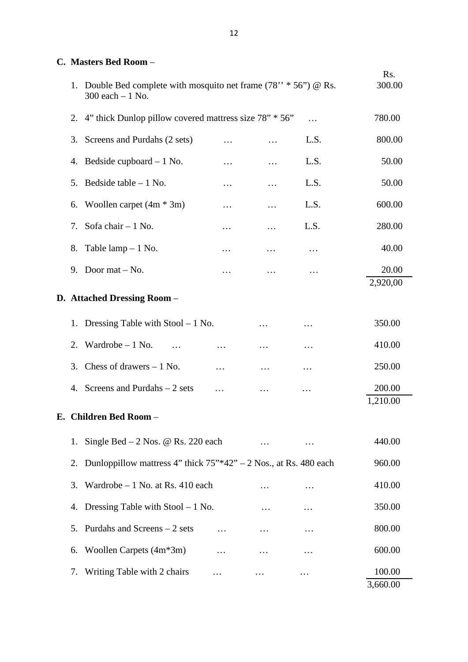|                                                                                              | 12       |          |          |                    |
|----------------------------------------------------------------------------------------------|----------|----------|----------|--------------------|
| C. Masters Bed Room -                                                                        |          |          |          |                    |
| 1. Double Bed complete with mosquito net frame $(78'' * 56'') \& Rs.$<br>$300$ each $-1$ No. |          |          |          | Rs.<br>300.00      |
| 2. 4" thick Dunlop pillow covered mattress size 78" * 56"                                    |          |          | .        | 780.00             |
| Screens and Purdahs (2 sets)<br>3.                                                           |          |          | L.S.     | 800.00             |
| 4. Bedside cupboard $-1$ No.                                                                 |          | .        | L.S.     | 50.00              |
| Bedside table $-1$ No.<br>5.                                                                 | $\cdots$ | $\cdots$ | L.S.     | 50.00              |
| Woollen carpet $(4m * 3m)$<br>6.                                                             | .        | .        | L.S.     | 600.00             |
| Sofa chair $-1$ No.<br>7.                                                                    | .        | $\cdots$ | L.S.     | 280.00             |
| Table $\text{lamp} - 1$ No.<br>8.                                                            | $\cdots$ | $\ddots$ | .        | 40.00              |
| Door mat $-$ No.<br>9.                                                                       | .        | .        | .        | 20.00              |
| D. Attached Dressing Room -                                                                  |          |          |          | 2,920,00           |
| Dressing Table with $Stool - 1$ No.<br>1.                                                    |          | $\cdots$ | .        | 350.00             |
| Wardrobe $-1$ No.<br>2.<br>$\cdots$                                                          | .        | .        | .        | 410.00             |
| 3. Chess of drawers $-1$ No.                                                                 | .        |          |          | 250.00             |
| Screens and Purdahs $-2$ sets<br>4.                                                          | .        |          | .        | 200.00<br>1,210.00 |
| E. Children Bed Room -                                                                       |          |          |          |                    |
| 1. Single Bed $-2$ Nos. @ Rs. 220 each                                                       |          | $\cdots$ | $\cdots$ | 440.00             |
| 2. Dunloppillow mattress 4" thick $75$ "*42" – 2 Nos., at Rs. 480 each                       |          |          |          | 960.00             |
| Wardrobe $-1$ No. at Rs. 410 each<br>3.                                                      |          |          |          | 410.00             |
| Dressing Table with $Stool - 1$ No.<br>4.                                                    |          | $\cdots$ | $\cdots$ | 350.00             |
| Purdahs and Screens – 2 sets<br>5.                                                           | $\cdots$ | $\ldots$ | $\ddots$ | 800.00             |
| Woollen Carpets (4m*3m)<br>6.                                                                | .        | .        | $\cdots$ | 600.00             |
| Writing Table with 2 chairs<br>7.                                                            |          |          |          | 100.00<br>3,660.00 |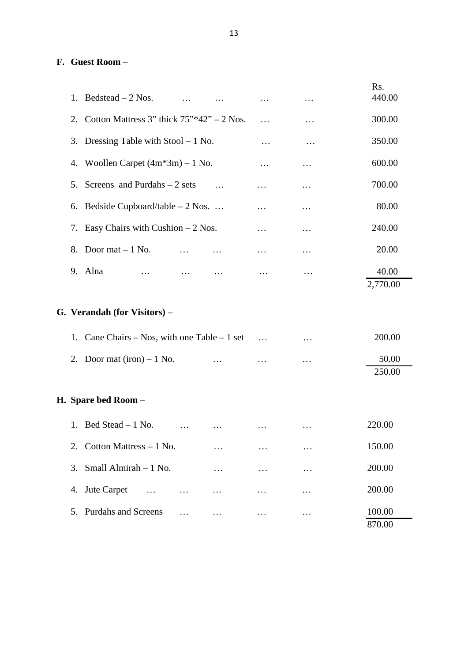# **F. Guest Room** –

|    | F. Guest Room –                                            |          |          |          |                   |
|----|------------------------------------------------------------|----------|----------|----------|-------------------|
| 1. | Bedstead $-2$ Nos.<br>$\cdots$                             | $\cdots$ | $\cdots$ | $\cdots$ | Rs.<br>440.00     |
| 2. | Cotton Mattress 3" thick $75^{\prime\prime}$ *42" – 2 Nos. |          | .        | .        | 300.00            |
| 3. | Dressing Table with $Stool - 1$ No.                        |          | .        | .        | 350.00            |
| 4. | Woollen Carpet $(4m*3m) - 1$ No.                           |          | $\cdots$ | $\cdots$ | 600.00            |
| 5. | Screens and Purdahs $-2$ sets                              | $\cdots$ | .        | $\ddots$ | 700.00            |
| 6. | Bedside Cupboard/table $-2$ Nos.                           |          | .        | .        | 80.00             |
| 7. | Easy Chairs with Cushion $-2$ Nos.                         |          | .        | $\cdots$ | 240.00            |
| 8. | Door mat $-1$ No.<br>$\cdots$                              |          | $\cdots$ | .        | 20.00             |
|    | 9. Alna<br>$\cdots$                                        | $\cdots$ | $\cdots$ | .        | 40.00<br>2,770.00 |
|    | G. Verandah (for Visitors) -                               |          |          |          |                   |
| 1. | Cane Chairs – Nos, with one Table – 1 set                  |          | $\cdots$ | .        | 200.00            |
| 2. | Door mat $(iron) - 1$ No.                                  | $\cdots$ |          |          | 50.00<br>250.00   |
|    | H. Spare bed Room –                                        |          |          |          |                   |
| 1. | Bed Stead - 1 No.<br>$\cdots$                              | $\cdots$ | $\cdots$ | $\ddots$ | 220.00            |
| 2. | Cotton Mattress $-1$ No.                                   |          | .        | .        | 150.00            |
| 3. | Small Almirah - 1 No.                                      | $\cdots$ | .        | .        | 200.00            |
| 4. | Jute Carpet<br>$\ddots$<br>$\cdots$                        |          | .        | .        | 200.00            |
| 5. | <b>Purdahs and Screens</b><br>.                            | .        | .        | $\ddots$ | 100.00<br>870.00  |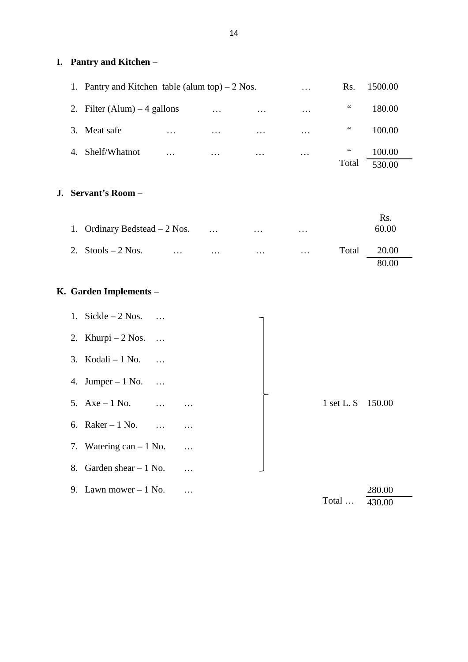#### **I. Pantry and Kitchen** –

|                      |                                                  |          | 14       |          |                   |                 |                  |  |
|----------------------|--------------------------------------------------|----------|----------|----------|-------------------|-----------------|------------------|--|
| Pantry and Kitchen – |                                                  |          |          |          |                   |                 |                  |  |
|                      | 1. Pantry and Kitchen table (alum top) $-2$ Nos. |          |          |          | $\cdots$          | Rs.             | 1500.00          |  |
|                      | 2. Filter (Alum) $-4$ gallons                    |          | $\cdots$ | $\cdots$ | $\cdot\cdot\cdot$ | $\,66$          | 180.00           |  |
| 3.                   | Meat safe                                        | $\cdots$ | $\cdots$ | $\cdots$ | $\cdots$          | $\,66$          | 100.00           |  |
| $\overline{4}$ .     | Shelf/Whatnot                                    | .        | $\cdots$ | $\cdots$ | $\cdots$          | $\,66$<br>Total | 100.00<br>530.00 |  |

#### **J. Servant's Room** –

| Servant's Room -                |          |          |          |                         |  |  |  |  |
|---------------------------------|----------|----------|----------|-------------------------|--|--|--|--|
| 1. Ordinary Bedstead $-2$ Nos.  | $\cdots$ | $\cdots$ | $\cdots$ | Rs.<br>60.00            |  |  |  |  |
| 2. Stools $-2$ Nos.<br>$\cdots$ | $\cdots$ | $\cdots$ | $\cdots$ | Total<br>20.00<br>80.00 |  |  |  |  |

### **K. Garden Implements** –

|                            |                                  |          |  |  |              | 80.00            |  |  |
|----------------------------|----------------------------------|----------|--|--|--------------|------------------|--|--|
| <b>Garden Implements -</b> |                                  |          |  |  |              |                  |  |  |
|                            | 1. Sickle $-2$ Nos.              |          |  |  |              |                  |  |  |
|                            | 2. Khurpi – $2$ Nos.<br>$\cdots$ |          |  |  |              |                  |  |  |
|                            | 3. Kodali $-1$ No.               |          |  |  |              |                  |  |  |
|                            | 4. Jumper $-1$ No.<br>$\ddots$   |          |  |  |              |                  |  |  |
|                            | 5. $Axe - 1 No.$<br>$\sim$       | $\cdots$ |  |  | $1$ set L. S | 150.00           |  |  |
|                            | 6. Raker $-1$ No.<br>$\ddots$    |          |  |  |              |                  |  |  |
|                            | 7. Watering can $-1$ No.         | $\ddots$ |  |  |              |                  |  |  |
|                            | 8. Garden shear $-1$ No.         |          |  |  |              |                  |  |  |
|                            | 9. Lawn mower $-1$ No.           | $\cdots$ |  |  | Total        | 280.00<br>430.00 |  |  |